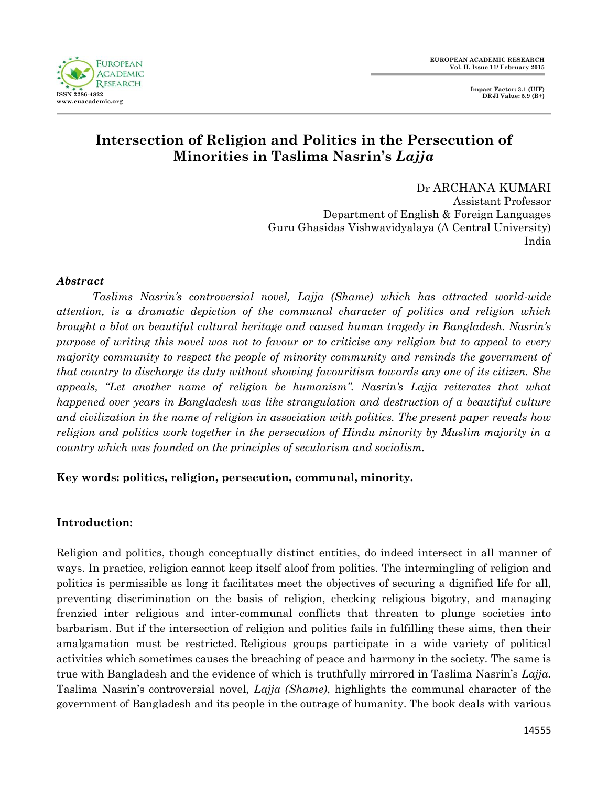

# **Intersection of Religion and Politics in the Persecution of Minorities in Taslima Nasrin's** *Lajja*

Dr ARCHANA KUMARI Assistant Professor Department of English & Foreign Languages Guru Ghasidas Vishwavidyalaya (A Central University) India

### *Abstract*

*Taslims Nasrin's controversial novel, Lajja (Shame) which has attracted world-wide attention, is a dramatic depiction of the communal character of politics and religion which brought a blot on beautiful cultural heritage and caused human tragedy in Bangladesh. Nasrin's purpose of writing this novel was not to favour or to criticise any religion but to appeal to every majority community to respect the people of minority community and reminds the government of that country to discharge its duty without showing favouritism towards any one of its citizen. She appeals, "Let another name of religion be humanism". Nasrin's Lajja reiterates that what happened over years in Bangladesh was like strangulation and destruction of a beautiful culture and civilization in the name of religion in association with politics. The present paper reveals how religion and politics work together in the persecution of Hindu minority by Muslim majority in a country which was founded on the principles of secularism and socialism.* 

# **Key words: politics, religion, persecution, communal, minority.**

# **Introduction:**

Religion and politics, though conceptually distinct entities, do indeed intersect in all manner of ways. In practice, religion cannot keep itself aloof from politics. The intermingling of religion and politics is permissible as long it facilitates meet the objectives of securing a dignified life for all, preventing discrimination on the basis of religion, checking religious bigotry, and managing frenzied inter religious and inter-communal conflicts that threaten to plunge societies into barbarism. But if the intersection of religion and politics fails in fulfilling these aims, then their amalgamation must be restricted. Religious groups participate in a wide variety of political activities which sometimes causes the breaching of peace and harmony in the society. The same is true with Bangladesh and the evidence of which is truthfully mirrored in Taslima Nasrin"s *Lajja.* Taslima Nasrin"s controversial novel, *Lajja (Shame)*, highlights the communal character of the government of Bangladesh and its people in the outrage of humanity. The book deals with various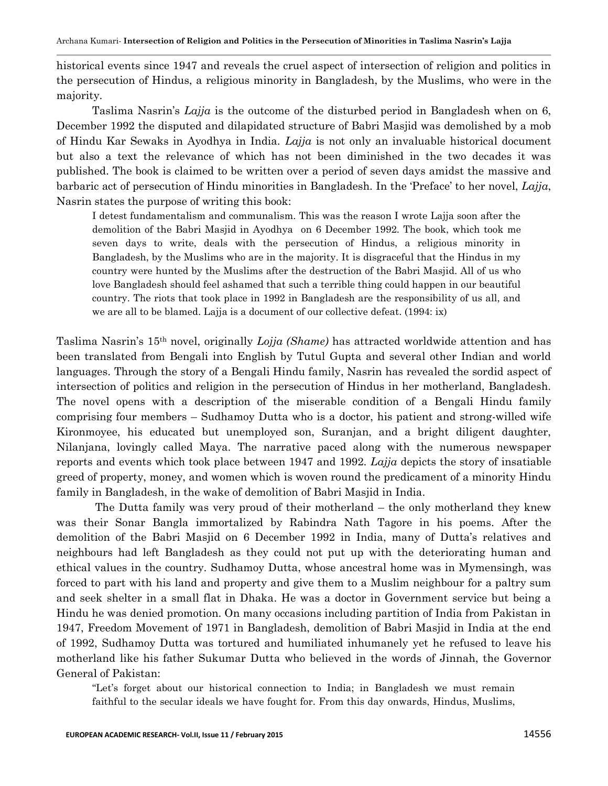historical events since 1947 and reveals the cruel aspect of intersection of religion and politics in the persecution of Hindus, a religious minority in Bangladesh, by the Muslims, who were in the majority.

Taslima Nasrin"s *Lajja* is the outcome of the disturbed period in Bangladesh when on 6, December 1992 the disputed and dilapidated structure of Babri Masjid was demolished by a mob of Hindu Kar Sewaks in Ayodhya in India. *Lajja* is not only an invaluable historical document but also a text the relevance of which has not been diminished in the two decades it was published. The book is claimed to be written over a period of seven days amidst the massive and barbaric act of persecution of Hindu minorities in Bangladesh. In the "Preface" to her novel, *Lajja*, Nasrin states the purpose of writing this book:

I detest fundamentalism and communalism. This was the reason I wrote Lajja soon after the demolition of the Babri Masjid in Ayodhya on 6 December 1992. The book, which took me seven days to write, deals with the persecution of Hindus, a religious minority in Bangladesh, by the Muslims who are in the majority. It is disgraceful that the Hindus in my country were hunted by the Muslims after the destruction of the Babri Masjid. All of us who love Bangladesh should feel ashamed that such a terrible thing could happen in our beautiful country. The riots that took place in 1992 in Bangladesh are the responsibility of us all, and we are all to be blamed. Lajja is a document of our collective defeat. (1994: ix)

Taslima Nasrin"s 15th novel, originally *Lojja (Shame)* has attracted worldwide attention and has been translated from Bengali into English by Tutul Gupta and several other Indian and world languages. Through the story of a Bengali Hindu family, Nasrin has revealed the sordid aspect of intersection of politics and religion in the persecution of Hindus in her motherland, Bangladesh. The novel opens with a description of the miserable condition of a Bengali Hindu family comprising four members – Sudhamoy Dutta who is a doctor, his patient and strong-willed wife Kironmoyee, his educated but unemployed son, Suranjan, and a bright diligent daughter, Nilanjana, lovingly called Maya. The narrative paced along with the numerous newspaper reports and events which took place between 1947 and 1992. *Lajja* depicts the story of insatiable greed of property, money, and women which is woven round the predicament of a minority Hindu family in Bangladesh, in the wake of demolition of Babri Masjid in India.

The Dutta family was very proud of their motherland – the only motherland they knew was their Sonar Bangla immortalized by Rabindra Nath Tagore in his poems. After the demolition of the Babri Masjid on 6 December 1992 in India, many of Dutta's relatives and neighbours had left Bangladesh as they could not put up with the deteriorating human and ethical values in the country. Sudhamoy Dutta, whose ancestral home was in Mymensingh, was forced to part with his land and property and give them to a Muslim neighbour for a paltry sum and seek shelter in a small flat in Dhaka. He was a doctor in Government service but being a Hindu he was denied promotion. On many occasions including partition of India from Pakistan in 1947, Freedom Movement of 1971 in Bangladesh, demolition of Babri Masjid in India at the end of 1992, Sudhamoy Dutta was tortured and humiliated inhumanely yet he refused to leave his motherland like his father Sukumar Dutta who believed in the words of Jinnah, the Governor General of Pakistan:

"Let's forget about our historical connection to India; in Bangladesh we must remain faithful to the secular ideals we have fought for. From this day onwards, Hindus, Muslims,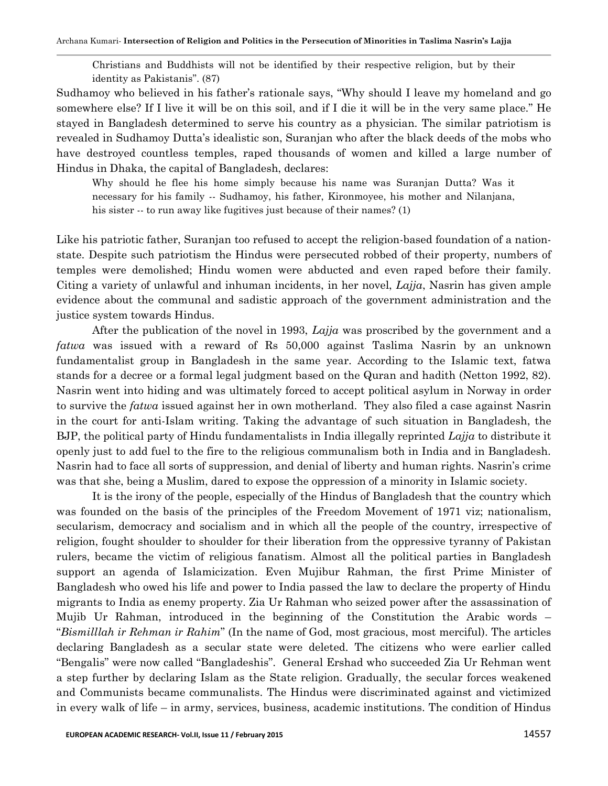Christians and Buddhists will not be identified by their respective religion, but by their identity as Pakistanis". (87)

Sudhamoy who believed in his father"s rationale says, "Why should I leave my homeland and go somewhere else? If I live it will be on this soil, and if I die it will be in the very same place." He stayed in Bangladesh determined to serve his country as a physician. The similar patriotism is revealed in Sudhamoy Dutta"s idealistic son, Suranjan who after the black deeds of the mobs who have destroyed countless temples, raped thousands of women and killed a large number of Hindus in Dhaka, the capital of Bangladesh, declares:

Why should he flee his home simply because his name was Suranjan Dutta? Was it necessary for his family -- Sudhamoy, his father, Kironmoyee, his mother and Nilanjana, his sister -- to run away like fugitives just because of their names? (1)

Like his patriotic father, Suranjan too refused to accept the religion-based foundation of a nationstate. Despite such patriotism the Hindus were persecuted robbed of their property, numbers of temples were demolished; Hindu women were abducted and even raped before their family. Citing a variety of unlawful and inhuman incidents, in her novel, *Lajja*, Nasrin has given ample evidence about the communal and sadistic approach of the government administration and the justice system towards Hindus.

After the publication of the novel in 1993, *Lajja* was proscribed by the government and a *fatwa* was issued with a reward of Rs 50,000 against Taslima Nasrin by an unknown fundamentalist group in Bangladesh in the same year. According to the Islamic text, fatwa stands for a decree or a formal legal judgment based on the Quran and hadith (Netton 1992, 82). Nasrin went into hiding and was ultimately forced to accept political asylum in Norway in order to survive the *fatwa* issued against her in own motherland. They also filed a case against Nasrin in the court for anti-Islam writing. Taking the advantage of such situation in Bangladesh, the BJP, the political party of Hindu fundamentalists in India illegally reprinted *Lajja* to distribute it openly just to add fuel to the fire to the religious communalism both in India and in Bangladesh. Nasrin had to face all sorts of suppression, and denial of liberty and human rights. Nasrin"s crime was that she, being a Muslim, dared to expose the oppression of a minority in Islamic society.

It is the irony of the people, especially of the Hindus of Bangladesh that the country which was founded on the basis of the principles of the Freedom Movement of 1971 viz; nationalism, secularism, democracy and socialism and in which all the people of the country, irrespective of religion, fought shoulder to shoulder for their liberation from the oppressive tyranny of Pakistan rulers, became the victim of religious fanatism. Almost all the political parties in Bangladesh support an agenda of Islamicization. Even Mujibur Rahman, the first Prime Minister of Bangladesh who owed his life and power to India passed the law to declare the property of Hindu migrants to India as enemy property. Zia Ur Rahman who seized power after the assassination of Mujib Ur Rahman, introduced in the beginning of the Constitution the Arabic words – "*Bismilllah ir Rehman ir Rahim*" (In the name of God, most gracious, most merciful). The articles declaring Bangladesh as a secular state were deleted. The citizens who were earlier called "Bengalis" were now called "Bangladeshis". General Ershad who succeeded Zia Ur Rehman went a step further by declaring Islam as the State religion. Gradually, the secular forces weakened and Communists became communalists. The Hindus were discriminated against and victimized in every walk of life – in army, services, business, academic institutions. The condition of Hindus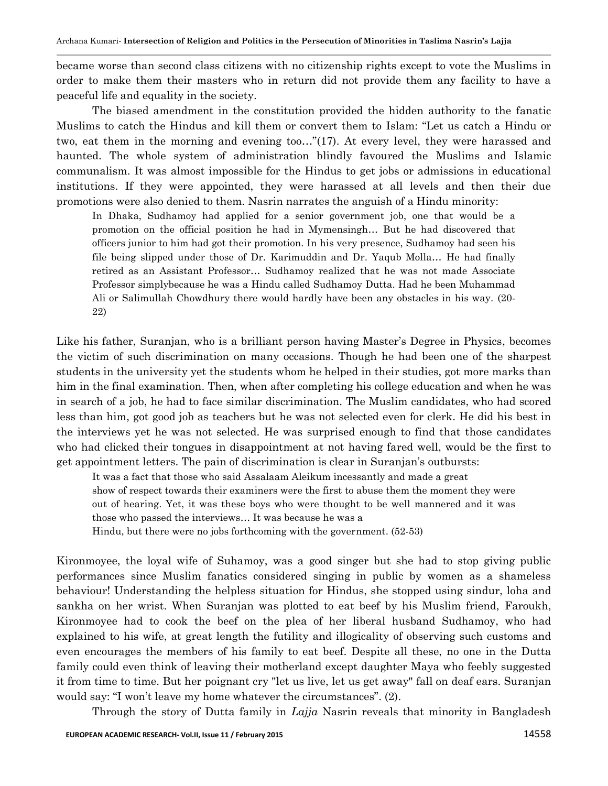became worse than second class citizens with no citizenship rights except to vote the Muslims in order to make them their masters who in return did not provide them any facility to have a peaceful life and equality in the society.

The biased amendment in the constitution provided the hidden authority to the fanatic Muslims to catch the Hindus and kill them or convert them to Islam: "Let us catch a Hindu or two, eat them in the morning and evening too…"(17). At every level, they were harassed and haunted. The whole system of administration blindly favoured the Muslims and Islamic communalism. It was almost impossible for the Hindus to get jobs or admissions in educational institutions. If they were appointed, they were harassed at all levels and then their due promotions were also denied to them. Nasrin narrates the anguish of a Hindu minority:

In Dhaka, Sudhamoy had applied for a senior government job, one that would be a promotion on the official position he had in Mymensingh… But he had discovered that officers junior to him had got their promotion. In his very presence, Sudhamoy had seen his file being slipped under those of Dr. Karimuddin and Dr. Yaqub Molla… He had finally retired as an Assistant Professor… Sudhamoy realized that he was not made Associate Professor simplybecause he was a Hindu called Sudhamoy Dutta. Had he been Muhammad Ali or Salimullah Chowdhury there would hardly have been any obstacles in his way. (20- 22)

Like his father, Suranjan, who is a brilliant person having Master's Degree in Physics, becomes the victim of such discrimination on many occasions. Though he had been one of the sharpest students in the university yet the students whom he helped in their studies, got more marks than him in the final examination. Then, when after completing his college education and when he was in search of a job, he had to face similar discrimination. The Muslim candidates, who had scored less than him, got good job as teachers but he was not selected even for clerk. He did his best in the interviews yet he was not selected. He was surprised enough to find that those candidates who had clicked their tongues in disappointment at not having fared well, would be the first to get appointment letters. The pain of discrimination is clear in Suranjan"s outbursts:

It was a fact that those who said Assalaam Aleikum incessantly and made a great show of respect towards their examiners were the first to abuse them the moment they were out of hearing. Yet, it was these boys who were thought to be well mannered and it was those who passed the interviews… It was because he was a

Hindu, but there were no jobs forthcoming with the government. (52-53)

Kironmoyee, the loyal wife of Suhamoy, was a good singer but she had to stop giving public performances since Muslim fanatics considered singing in public by women as a shameless behaviour! Understanding the helpless situation for Hindus, she stopped using sindur, loha and sankha on her wrist. When Suranjan was plotted to eat beef by his Muslim friend, Faroukh, Kironmoyee had to cook the beef on the plea of her liberal husband Sudhamoy, who had explained to his wife, at great length the futility and illogicality of observing such customs and even encourages the members of his family to eat beef. Despite all these, no one in the Dutta family could even think of leaving their motherland except daughter Maya who feebly suggested it from time to time. But her poignant cry "let us live, let us get away" fall on deaf ears. Suranjan would say: "I won't leave my home whatever the circumstances". (2).

Through the story of Dutta family in *Lajja* Nasrin reveals that minority in Bangladesh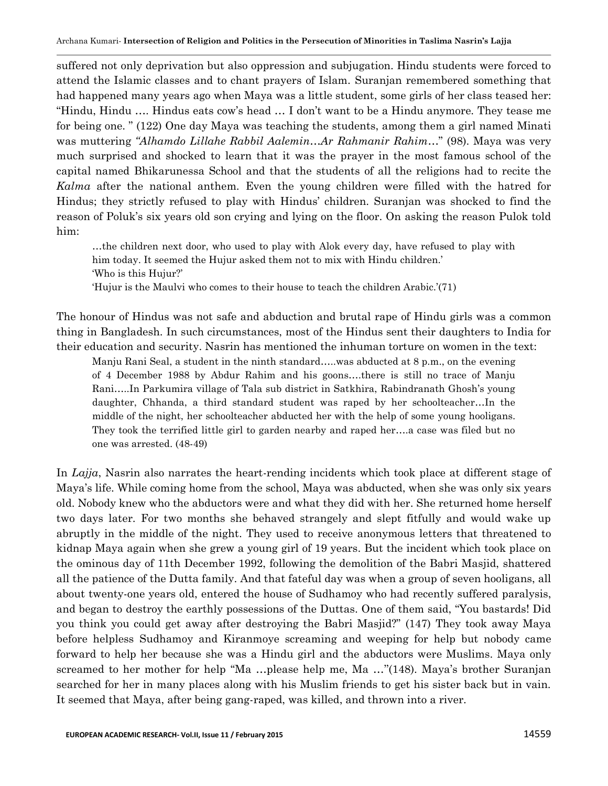suffered not only deprivation but also oppression and subjugation. Hindu students were forced to attend the Islamic classes and to chant prayers of Islam. Suranjan remembered something that had happened many years ago when Maya was a little student, some girls of her class teased her: "Hindu, Hindu …. Hindus eats cow"s head … I don"t want to be a Hindu anymore. They tease me for being one. " (122) One day Maya was teaching the students, among them a girl named Minati was muttering *"Alhamdo Lillahe Rabbil Aalemin…Ar Rahmanir Rahim*…" (98). Maya was very much surprised and shocked to learn that it was the prayer in the most famous school of the capital named Bhikarunessa School and that the students of all the religions had to recite the *Kalma* after the national anthem. Even the young children were filled with the hatred for Hindus; they strictly refused to play with Hindus" children. Suranjan was shocked to find the reason of Poluk"s six years old son crying and lying on the floor. On asking the reason Pulok told him:

…the children next door, who used to play with Alok every day, have refused to play with him today. It seemed the Hujur asked them not to mix with Hindu children." "Who is this Hujur?"

"Hujur is the Maulvi who comes to their house to teach the children Arabic."(71)

The honour of Hindus was not safe and abduction and brutal rape of Hindu girls was a common thing in Bangladesh. In such circumstances, most of the Hindus sent their daughters to India for their education and security. Nasrin has mentioned the inhuman torture on women in the text:

Manju Rani Seal, a student in the ninth standard…..was abducted at 8 p.m., on the evening of 4 December 1988 by Abdur Rahim and his goons….there is still no trace of Manju Rani…..In Parkumira village of Tala sub district in Satkhira, Rabindranath Ghosh"s young daughter, Chhanda, a third standard student was raped by her schoolteacher…In the middle of the night, her schoolteacher abducted her with the help of some young hooligans. They took the terrified little girl to garden nearby and raped her….a case was filed but no one was arrested. (48-49)

In *Lajja*, Nasrin also narrates the heart-rending incidents which took place at different stage of Maya"s life. While coming home from the school, Maya was abducted, when she was only six years old. Nobody knew who the abductors were and what they did with her. She returned home herself two days later. For two months she behaved strangely and slept fitfully and would wake up abruptly in the middle of the night. They used to receive anonymous letters that threatened to kidnap Maya again when she grew a young girl of 19 years. But the incident which took place on the ominous day of 11th December 1992, following the demolition of the Babri Masjid, shattered all the patience of the Dutta family. And that fateful day was when a group of seven hooligans, all about twenty-one years old, entered the house of Sudhamoy who had recently suffered paralysis, and began to destroy the earthly possessions of the Duttas. One of them said, "You bastards! Did you think you could get away after destroying the Babri Masjid?" (147) They took away Maya before helpless Sudhamoy and Kiranmoye screaming and weeping for help but nobody came forward to help her because she was a Hindu girl and the abductors were Muslims. Maya only screamed to her mother for help "Ma ...please help me, Ma ..."(148). Maya's brother Suranjan searched for her in many places along with his Muslim friends to get his sister back but in vain. It seemed that Maya, after being gang-raped, was killed, and thrown into a river.